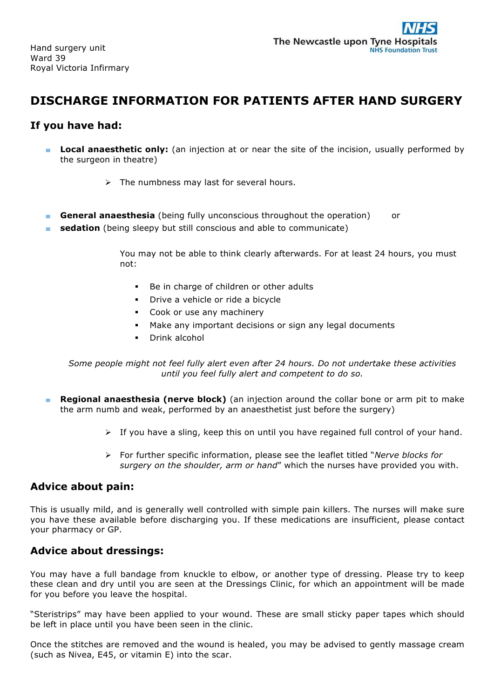Hand surgery unit Ward 39 Royal Victoria Infirmary

# **DISCHARGE INFORMATION FOR PATIENTS AFTER HAND SURGERY**

#### **If you have had:**

- **Local anaesthetic only:** (an injection at or near the site of the incision, usually performed by the surgeon in theatre)
	- $\triangleright$  The numbness may last for several hours.
- **General anaesthesia** (being fully unconscious throughout the operation) or
- **sedation** (being sleepy but still conscious and able to communicate)

You may not be able to think clearly afterwards. For at least 24 hours, you must not:

- Be in charge of children or other adults
- Drive a vehicle or ride a bicycle
- Cook or use any machinery
- Make any important decisions or sign any legal documents
- § Drink alcohol

*Some people might not feel fully alert even after 24 hours. Do not undertake these activities until you feel fully alert and competent to do so.*

- **Regional anaesthesia (nerve block)** (an injection around the collar bone or arm pit to make the arm numb and weak, performed by an anaesthetist just before the surgery)
	- $\triangleright$  If you have a sling, keep this on until you have regained full control of your hand.
	- Ø For further specific information, please see the leaflet titled "*Nerve blocks for surgery on the shoulder, arm or hand*" which the nurses have provided you with.

#### **Advice about pain:**

This is usually mild, and is generally well controlled with simple pain killers. The nurses will make sure you have these available before discharging you. If these medications are insufficient, please contact your pharmacy or GP.

#### **Advice about dressings:**

You may have a full bandage from knuckle to elbow, or another type of dressing. Please try to keep these clean and dry until you are seen at the Dressings Clinic, for which an appointment will be made for you before you leave the hospital.

"Steristrips" may have been applied to your wound. These are small sticky paper tapes which should be left in place until you have been seen in the clinic.

Once the stitches are removed and the wound is healed, you may be advised to gently massage cream (such as Nivea, E45, or vitamin E) into the scar.